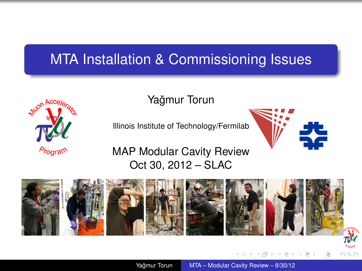## MTA Installation & Commissioning Issues



Yağmur Torun

Illinois Institute of Technology/Fermilab

Oct 30, 2012 – SLAC



Yağmur Torun [MTA – Modular Cavity Review – 8/30/12](#page-9-0)

<span id="page-0-0"></span> $\leftarrow$   $\Box$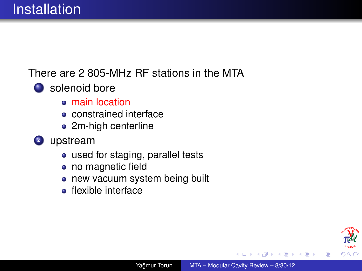There are 2 805-MHz RF stations in the MTA

- **1** solenoid bore
	- main location
	- **•** constrained interface
	- 2m-high centerline
- <sup>2</sup> upstream
	- used for staging, parallel tests
	- no magnetic field
	- new vacuum system being built  $\bullet$
	- **•** flexible interface

ă

K 御 ▶ K ヨ ▶ K ヨ ▶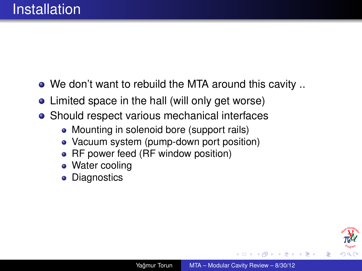- We don't want to rebuild the MTA around this cavity ..
- Limited space in the hall (will only get worse)
- Should respect various mechanical interfaces
	- Mounting in solenoid bore (support rails)
	- Vacuum system (pump-down port position)
	- RF power feed (RF window position)
	- Water cooling
	- **Diagnostics**  $\bullet$



ミト メモト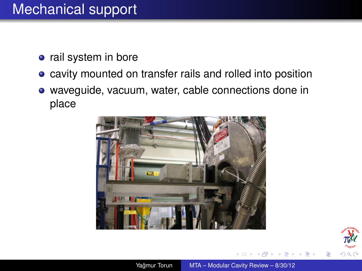## Mechanical support

- rail system in bore
- cavity mounted on transfer rails and rolled into position
- waveguide, vacuum, water, cable connections done in place



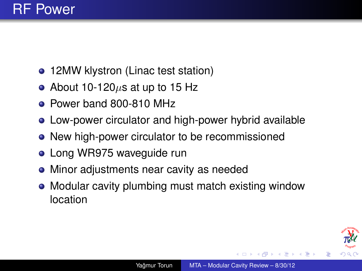

- 12MW klystron (Linac test station)
- About 10-120 $\mu$ s at up to 15 Hz
- Power band 800-810 MHz
- Low-power circulator and high-power hybrid available
- New high-power circulator to be recommissioned
- Long WR975 waveguide run
- Minor adjustments near cavity as needed
- Modular cavity plumbing must match existing window location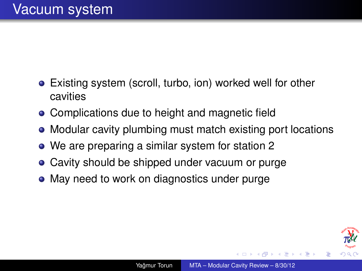- Existing system (scroll, turbo, ion) worked well for other cavities
- Complications due to height and magnetic field
- Modular cavity plumbing must match existing port locations
- We are preparing a similar system for station 2
- Cavity should be shipped under vacuum or purge
- May need to work on diagnostics under purge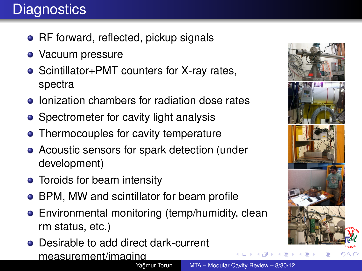## **Diagnostics**

- RF forward, reflected, pickup signals
- **•** Vacuum pressure
- Scintillator+PMT counters for X-ray rates, spectra
- Ionization chambers for radiation dose rates
- Spectrometer for cavity light analysis
- Thermocouples for cavity temperature
- Acoustic sensors for spark detection (under development)
- Toroids for beam intensity
- BPM, MW and scintillator for beam profile
- Environmental monitoring (temp/humidity, clean rm status, etc.)
- Desirable to add direct dark-current measurement/imaging

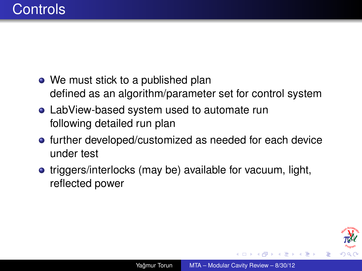- We must stick to a published plan defined as an algorithm/parameter set for control system
- LabView-based system used to automate run following detailed run plan
- **•** further developed/customized as needed for each device under test
- triggers/interlocks (may be) available for vacuum, light, reflected power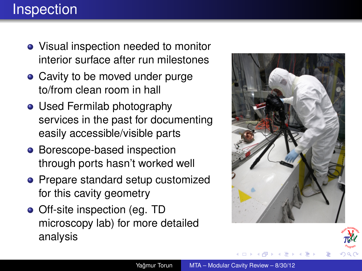## **Inspection**

- Visual inspection needed to monitor interior surface after run milestones
- Cavity to be moved under purge to/from clean room in hall
- Used Fermilab photography services in the past for documenting easily accessible/visible parts
- Borescope-based inspection through ports hasn't worked well
- Prepare standard setup customized for this cavity geometry
- Off-site inspection (eg. TD microscopy lab) for more detailed analysis